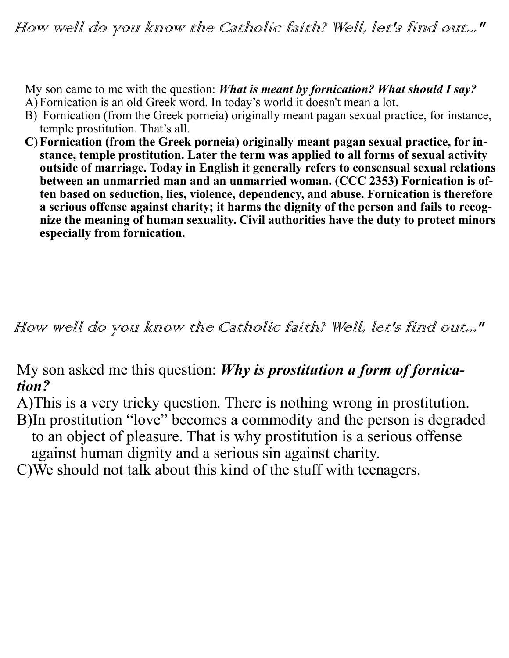My son came to me with the question: *What is meant by fornication? What should I say?* A) Fornication is an old Greek word. In today's world it doesn't mean a lot.

- B) Fornication (from the Greek porneia) originally meant pagan sexual practice, for instance, temple prostitution. That's all.
- **C)Fornication (from the Greek porneia) originally meant pagan sexual practice, for instance, temple prostitution. Later the term was applied to all forms of sexual activity outside of marriage. Today in English it generally refers to consensual sexual relations between an unmarried man and an unmarried woman. (CCC 2353) Fornication is often based on seduction, lies, violence, dependency, and abuse. Fornication is therefore a serious offense against charity; it harms the dignity of the person and fails to recognize the meaning of human sexuality. Civil authorities have the duty to protect minors especially from fornication.**

How well do you know the Catholic faith? Well, let's find out..."

My son asked me this question: *Why is prostitution a form of fornication?*

A)This is a very tricky question. There is nothing wrong in prostitution. B)In prostitution "love" becomes a commodity and the person is degraded to an object of pleasure. That is why prostitution is a serious offense against human dignity and a serious sin against charity.

C)We should not talk about this kind of the stuff with teenagers.